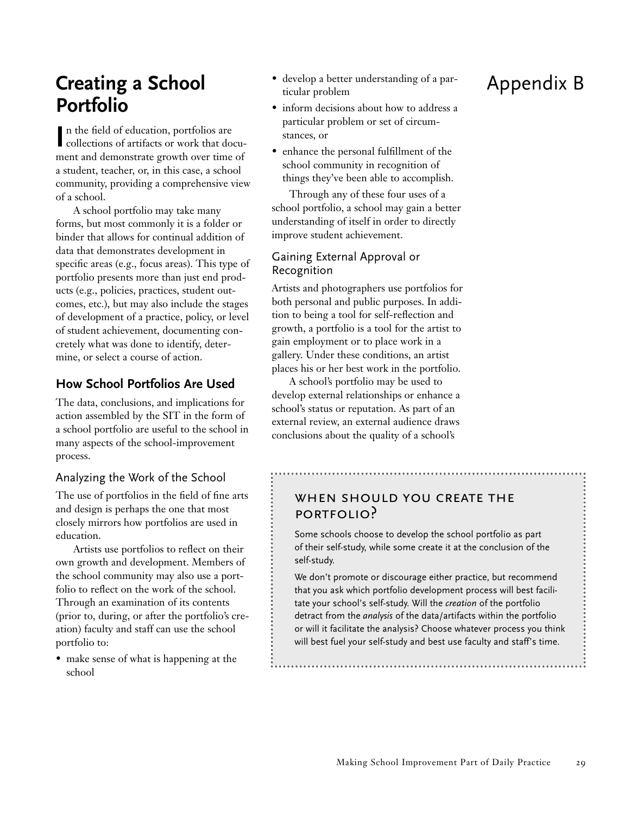# **Creating a School Portfolio**

In the field of education, portfolios are<br>
collections of artifacts or work that docun the field of education, portfolios are ment and demonstrate growth over time of a student, teacher, or, in this case, a school community, providing a comprehensive view of a school.

A school portfolio may take many forms, but most commonly it is a folder or binder that allows for continual addition of data that demonstrates development in specific areas (e.g., focus areas). This type of portfolio presents more than just end products (e.g., policies, practices, student outcomes, etc.), but may also include the stages of development of a practice, policy, or level of student achievement, documenting concretely what was done to identify, determine, or select a course of action.

## **How School Portfolios Are Used**

The data, conclusions, and implications for action assembled by the SIT in the form of a school portfolio are useful to the school in many aspects of the school-improvement process.

### Analyzing the Work of the School

The use of portfolios in the field of fine arts and design is perhaps the one that most closely mirrors how portfolios are used in education.

Artists use portfolios to reflect on their own growth and development. Members of the school community may also use a portfolio to reflect on the work of the school. Through an examination of its contents (prior to, during, or after the portfolio's creation) faculty and staff can use the school portfolio to:

• make sense of what is happening at the school

- develop a better understanding of a particular problem
- inform decisions about how to address a particular problem or set of circumstances, or
- enhance the personal fulfillment of the school community in recognition of things they've been able to accomplish.

Through any of these four uses of a school portfolio, a school may gain a better understanding of itself in order to directly improve student achievement.

## Gaining External Approval or Recognition

Artists and photographers use portfolios for both personal and public purposes. In addition to being a tool for self-reflection and growth, a portfolio is a tool for the artist to gain employment or to place work in a gallery. Under these conditions, an artist places his or her best work in the portfolio.

A school's portfolio may be used to develop external relationships or enhance a school's status or reputation. As part of an external review, an external audience draws conclusions about the quality of a school's

## WHEN SHOULD YOU CREATE THE portfolio?

Some schools choose to develop the school portfolio as part of their self-study, while some create it at the conclusion of the self-study.

We don't promote or discourage either practice, but recommend that you ask which portfolio development process will best facilitate your school's self-study. Will the *creation* of the portfolio detract from the *analysis* of the data/artifacts within the portfolio or will it facilitate the analysis? Choose whatever process you think will best fuel your self-study and best use faculty and staff's time.

# Appendix B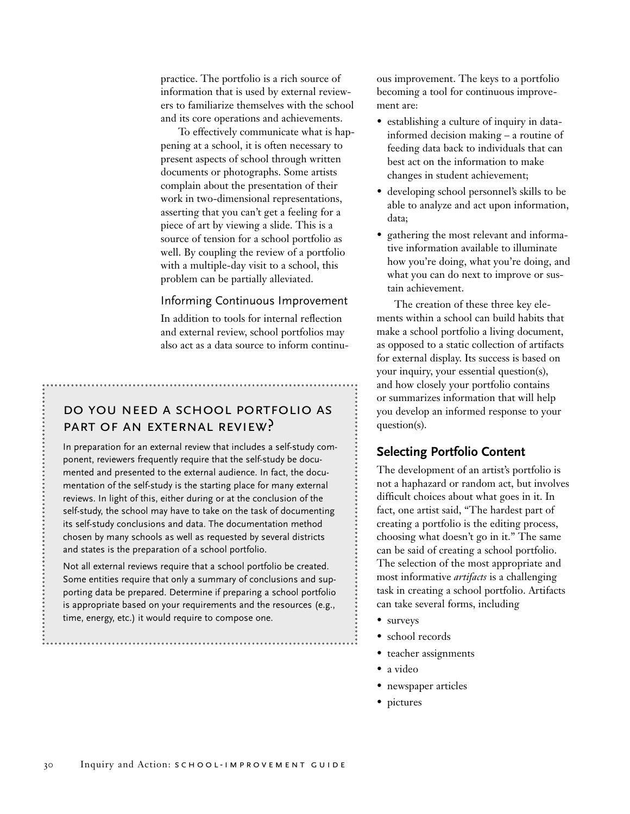practice. The portfolio is a rich source of information that is used by external reviewers to familiarize themselves with the school and its core operations and achievements.

To effectively communicate what is happening at a school, it is often necessary to present aspects of school through written documents or photographs. Some artists complain about the presentation of their work in two-dimensional representations, asserting that you can't get a feeling for a piece of art by viewing a slide. This is a source of tension for a school portfolio as well. By coupling the review of a portfolio with a multiple-day visit to a school, this problem can be partially alleviated.

#### Informing Continuous Improvement

In addition to tools for internal reflection and external review, school portfolios may also act as a data source to inform continu-

## do you need a school portfolio as part of an external review?

In preparation for an external review that includes a self-study component, reviewers frequently require that the self-study be documented and presented to the external audience. In fact, the documentation of the self-study is the starting place for many external reviews. In light of this, either during or at the conclusion of the self-study, the school may have to take on the task of documenting its self-study conclusions and data. The documentation method chosen by many schools as well as requested by several districts and states is the preparation of a school portfolio.

Not all external reviews require that a school portfolio be created. Some entities require that only a summary of conclusions and supporting data be prepared. Determine if preparing a school portfolio is appropriate based on your requirements and the resources (e.g., time, energy, etc.) it would require to compose one.

ous improvement. The keys to a portfolio becoming a tool for continuous improvement are:

- establishing a culture of inquiry in datainformed decision making – a routine of feeding data back to individuals that can best act on the information to make changes in student achievement;
- developing school personnel's skills to be able to analyze and act upon information, data;
- gathering the most relevant and informative information available to illuminate how you're doing, what you're doing, and what you can do next to improve or sustain achievement.

The creation of these three key elements within a school can build habits that make a school portfolio a living document, as opposed to a static collection of artifacts for external display. Its success is based on your inquiry, your essential question(s), and how closely your portfolio contains or summarizes information that will help you develop an informed response to your question(s).

### **Selecting Portfolio Content**

The development of an artist's portfolio is not a haphazard or random act, but involves difficult choices about what goes in it. In fact, one artist said, "The hardest part of creating a portfolio is the editing process, choosing what doesn't go in it." The same can be said of creating a school portfolio. The selection of the most appropriate and most informative *artifacts* is a challenging task in creating a school portfolio. Artifacts can take several forms, including

- surveys
- school records
- teacher assignments
- a video
- newspaper articles
- pictures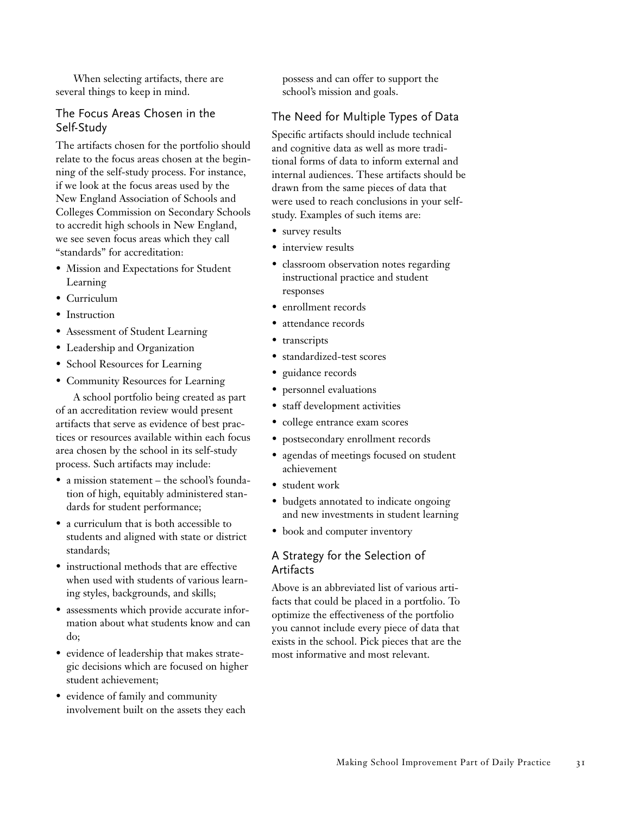When selecting artifacts, there are several things to keep in mind.

#### The Focus Areas Chosen in the Self-Study

The artifacts chosen for the portfolio should relate to the focus areas chosen at the beginning of the self-study process. For instance, if we look at the focus areas used by the New England Association of Schools and Colleges Commission on Secondary Schools to accredit high schools in New England, we see seven focus areas which they call "standards" for accreditation:

- Mission and Expectations for Student Learning
- Curriculum
- Instruction
- Assessment of Student Learning
- Leadership and Organization
- School Resources for Learning
- Community Resources for Learning

A school portfolio being created as part of an accreditation review would present artifacts that serve as evidence of best practices or resources available within each focus area chosen by the school in its self-study process. Such artifacts may include:

- a mission statement the school's foundation of high, equitably administered standards for student performance;
- a curriculum that is both accessible to students and aligned with state or district standards;
- instructional methods that are effective when used with students of various learning styles, backgrounds, and skills;
- assessments which provide accurate information about what students know and can do;
- evidence of leadership that makes strategic decisions which are focused on higher student achievement;
- evidence of family and community involvement built on the assets they each

possess and can offer to support the school's mission and goals.

## The Need for Multiple Types of Data

Specific artifacts should include technical and cognitive data as well as more traditional forms of data to inform external and internal audiences. These artifacts should be drawn from the same pieces of data that were used to reach conclusions in your selfstudy. Examples of such items are:

- survey results
- interview results
- classroom observation notes regarding instructional practice and student responses
- enrollment records
- attendance records
- transcripts
- standardized-test scores
- guidance records
- personnel evaluations
- staff development activities
- college entrance exam scores
- postsecondary enrollment records
- agendas of meetings focused on student achievement
- student work
- budgets annotated to indicate ongoing and new investments in student learning
- book and computer inventory

### A Strategy for the Selection of **Artifacts**

Above is an abbreviated list of various artifacts that could be placed in a portfolio. To optimize the effectiveness of the portfolio you cannot include every piece of data that exists in the school. Pick pieces that are the most informative and most relevant.